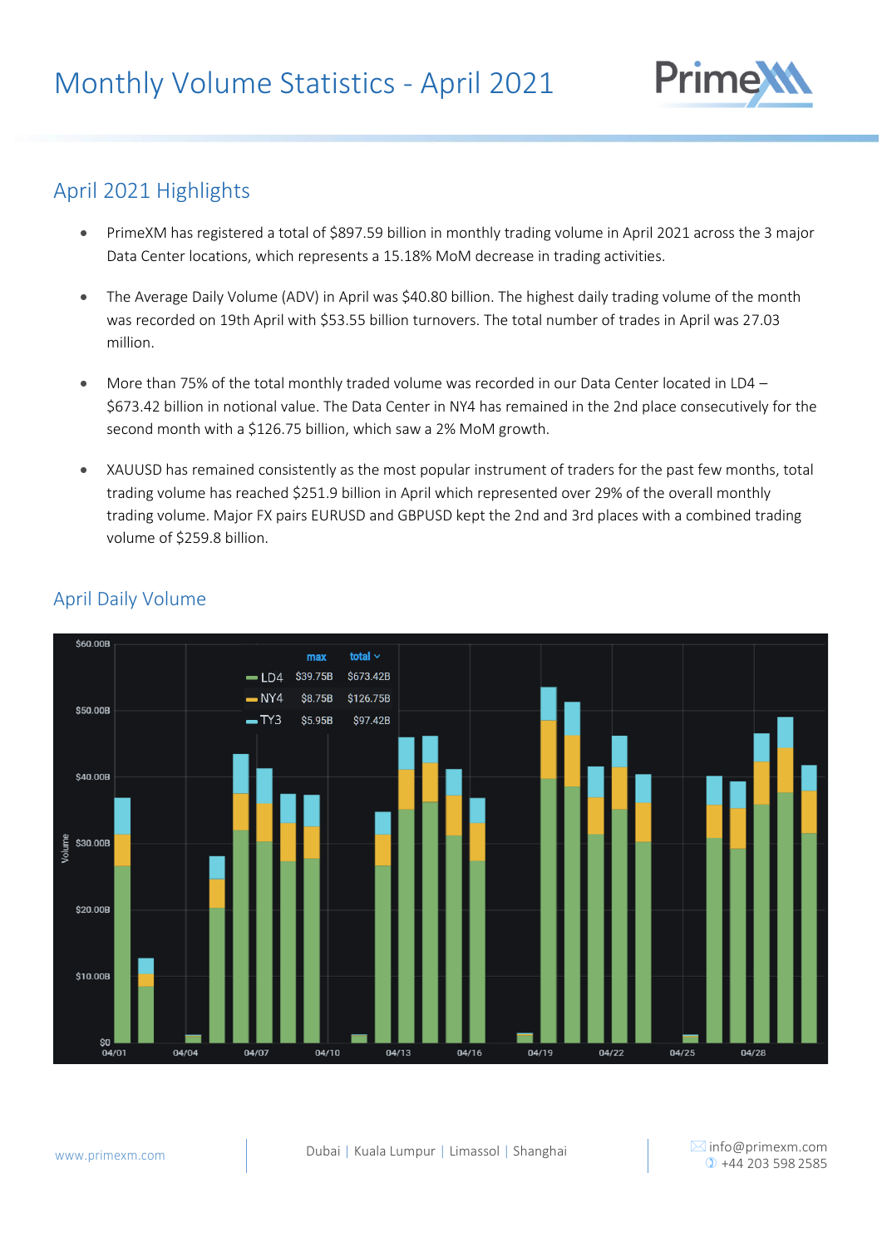

# April 2021 Highlights

- PrimeXM has registered a total of \$897.59 billion in monthly trading volume in April 2021 across the 3 major Data Center locations, which represents a 15.18% MoM decrease in trading activities.
- The Average Daily Volume (ADV) in April was \$40.80 billion. The highest daily trading volume of the month was recorded on 19th April with \$53.55 billion turnovers. The total number of trades in April was 27.03 million.
- More than 75% of the total monthly traded volume was recorded in our Data Center located in LD4 \$673.42 billion in notional value. The Data Center in NY4 has remained in the 2nd place consecutively for the second month with a \$126.75 billion, which saw a 2% MoM growth.
- XAUUSD has remained consistently as the most popular instrument of traders for the past few months, total trading volume has reached \$251.9 billion in April which represented over 29% of the overall monthly trading volume. Major FX pairs EURUSD and GBPUSD kept the 2nd and 3rd places with a combined trading volume of \$259.8 billion.



#### April Daily Volume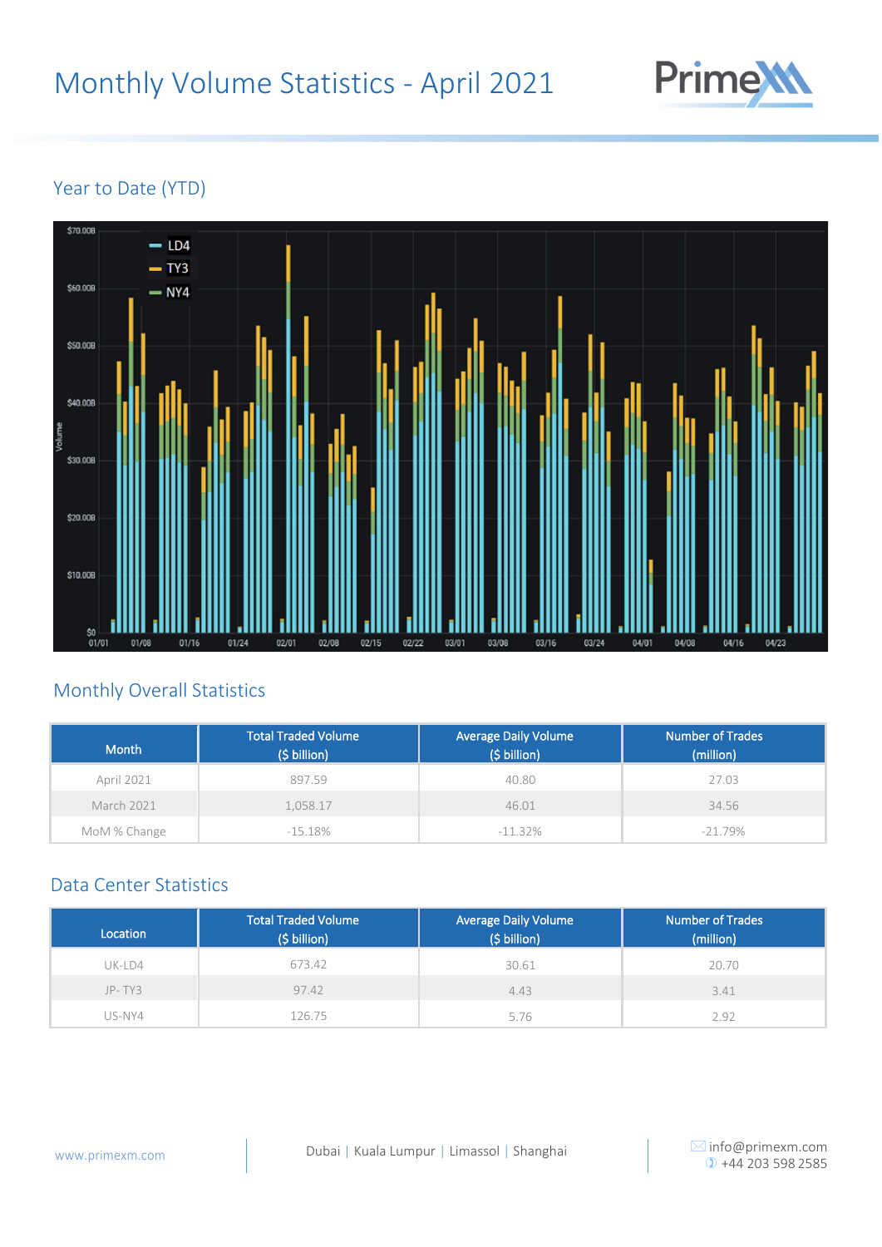

## Year to Date (YTD)



## Monthly Overall Statistics

| <b>Month</b>      | <b>Total Traded Volume</b><br>(\$ billion) | <b>Average Daily Volume</b><br>(\$ billion) | <b>Number of Trades</b><br>(million) |
|-------------------|--------------------------------------------|---------------------------------------------|--------------------------------------|
| April 2021        | 897.59                                     | 40.80                                       | 27.03                                |
| <b>March 2021</b> | 1.058.17                                   | 46.01                                       | 34.56                                |
| MoM % Change      | $-15.18\%$                                 | $-11.32\%$                                  | $-21.79\%$                           |

#### Data Center Statistics

| Location | <b>Total Traded Volume</b><br>(\$ billion) | <b>Average Daily Volume</b><br>(\$ billion) | <b>Number of Trades</b><br>(million) |
|----------|--------------------------------------------|---------------------------------------------|--------------------------------------|
| UK-LD4   | 673.42                                     | 30.61                                       | 20.70                                |
| $JP-TY3$ | 97.42                                      | 4.43                                        | 3.41                                 |
| US-NY4   | 26.75                                      | 5.76                                        | 2.92                                 |